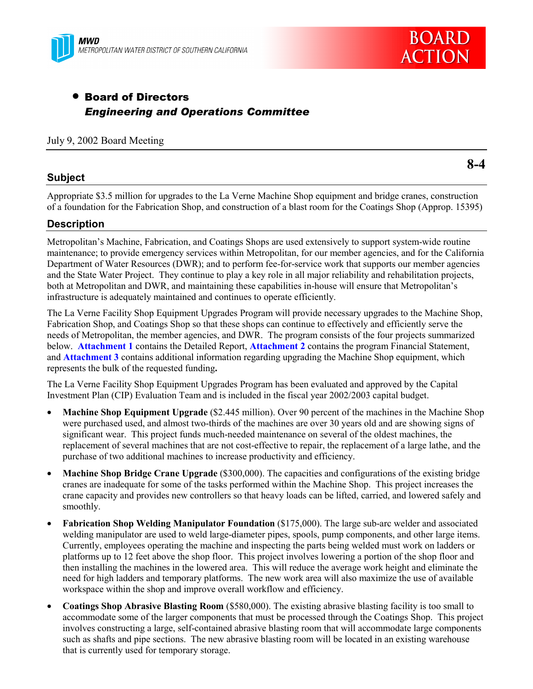



# • Board of Directors *Engineering and Operations Committee*

#### July 9, 2002 Board Meeting

#### **Subject**

**8-4**

Appropriate \$3.5 million for upgrades to the La Verne Machine Shop equipment and bridge cranes, construction of a foundation for the Fabrication Shop, and construction of a blast room for the Coatings Shop (Approp. 15395)

#### **Description**

Metropolitanís Machine, Fabrication, and Coatings Shops are used extensively to support system-wide routine maintenance; to provide emergency services within Metropolitan, for our member agencies, and for the California Department of Water Resources (DWR); and to perform fee-for-service work that supports our member agencies and the State Water Project. They continue to play a key role in all major reliability and rehabilitation projects, both at Metropolitan and DWR, and maintaining these capabilities in-house will ensure that Metropolitan's infrastructure is adequately maintained and continues to operate efficiently.

The La Verne Facility Shop Equipment Upgrades Program will provide necessary upgrades to the Machine Shop, Fabrication Shop, and Coatings Shop so that these shops can continue to effectively and efficiently serve the needs of Metropolitan, the member agencies, and DWR. The program consists of the four projects summarized below. **Attachment 1** contains the Detailed Report, **Attachment 2** contains the program Financial Statement, and **Attachment 3** contains additional information regarding upgrading the Machine Shop equipment, which represents the bulk of the requested funding**.**

The La Verne Facility Shop Equipment Upgrades Program has been evaluated and approved by the Capital Investment Plan (CIP) Evaluation Team and is included in the fiscal year 2002/2003 capital budget.

- **Machine Shop Equipment Upgrade** (\$2.445 million). Over 90 percent of the machines in the Machine Shop were purchased used, and almost two-thirds of the machines are over 30 years old and are showing signs of significant wear. This project funds much-needed maintenance on several of the oldest machines, the replacement of several machines that are not cost-effective to repair, the replacement of a large lathe, and the purchase of two additional machines to increase productivity and efficiency.
- **Machine Shop Bridge Crane Upgrade** (\$300,000). The capacities and configurations of the existing bridge cranes are inadequate for some of the tasks performed within the Machine Shop. This project increases the crane capacity and provides new controllers so that heavy loads can be lifted, carried, and lowered safely and smoothly.
- **Fabrication Shop Welding Manipulator Foundation** (\$175,000). The large sub-arc welder and associated welding manipulator are used to weld large-diameter pipes, spools, pump components, and other large items. Currently, employees operating the machine and inspecting the parts being welded must work on ladders or platforms up to 12 feet above the shop floor. This project involves lowering a portion of the shop floor and then installing the machines in the lowered area. This will reduce the average work height and eliminate the need for high ladders and temporary platforms. The new work area will also maximize the use of available workspace within the shop and improve overall workflow and efficiency.
- **Coatings Shop Abrasive Blasting Room** (\$580,000). The existing abrasive blasting facility is too small to accommodate some of the larger components that must be processed through the Coatings Shop. This project involves constructing a large, self-contained abrasive blasting room that will accommodate large components such as shafts and pipe sections. The new abrasive blasting room will be located in an existing warehouse that is currently used for temporary storage.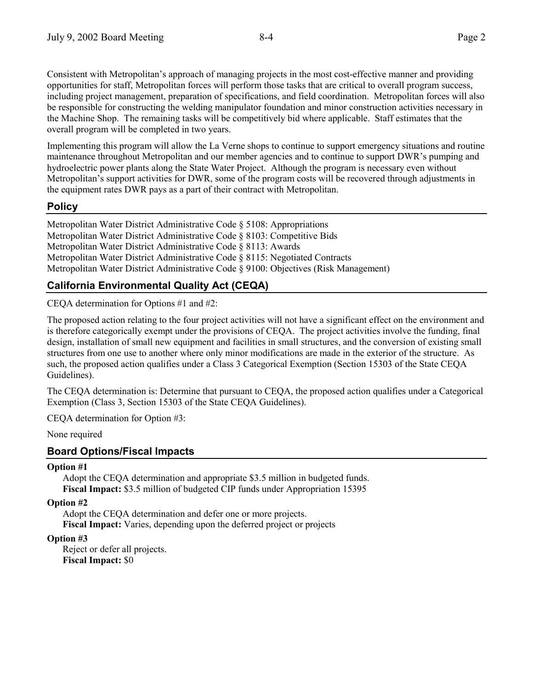Consistent with Metropolitanís approach of managing projects in the most cost-effective manner and providing opportunities for staff, Metropolitan forces will perform those tasks that are critical to overall program success, including project management, preparation of specifications, and field coordination. Metropolitan forces will also be responsible for constructing the welding manipulator foundation and minor construction activities necessary in the Machine Shop. The remaining tasks will be competitively bid where applicable. Staff estimates that the overall program will be completed in two years.

Implementing this program will allow the La Verne shops to continue to support emergency situations and routine maintenance throughout Metropolitan and our member agencies and to continue to support DWR's pumping and hydroelectric power plants along the State Water Project. Although the program is necessary even without Metropolitanís support activities for DWR, some of the program costs will be recovered through adjustments in the equipment rates DWR pays as a part of their contract with Metropolitan.

## **Policy**

Metropolitan Water District Administrative Code § 5108: Appropriations Metropolitan Water District Administrative Code ß 8103: Competitive Bids Metropolitan Water District Administrative Code ß 8113: Awards Metropolitan Water District Administrative Code ß 8115: Negotiated Contracts Metropolitan Water District Administrative Code ß 9100: Objectives (Risk Management)

# **California Environmental Quality Act (CEQA)**

CEQA determination for Options #1 and #2:

The proposed action relating to the four project activities will not have a significant effect on the environment and is therefore categorically exempt under the provisions of CEQA. The project activities involve the funding, final design, installation of small new equipment and facilities in small structures, and the conversion of existing small structures from one use to another where only minor modifications are made in the exterior of the structure. As such, the proposed action qualifies under a Class 3 Categorical Exemption (Section 15303 of the State CEQA Guidelines).

The CEQA determination is: Determine that pursuant to CEQA, the proposed action qualifies under a Categorical Exemption (Class 3, Section 15303 of the State CEQA Guidelines).

CEQA determination for Option #3:

None required

## **Board Options/Fiscal Impacts**

#### **Option #1**

Adopt the CEQA determination and appropriate \$3.5 million in budgeted funds. **Fiscal Impact:** \$3.5 million of budgeted CIP funds under Appropriation 15395

**Option #2**

Adopt the CEQA determination and defer one or more projects. **Fiscal Impact:** Varies, depending upon the deferred project or projects

#### **Option #3**

Reject or defer all projects. **Fiscal Impact:** \$0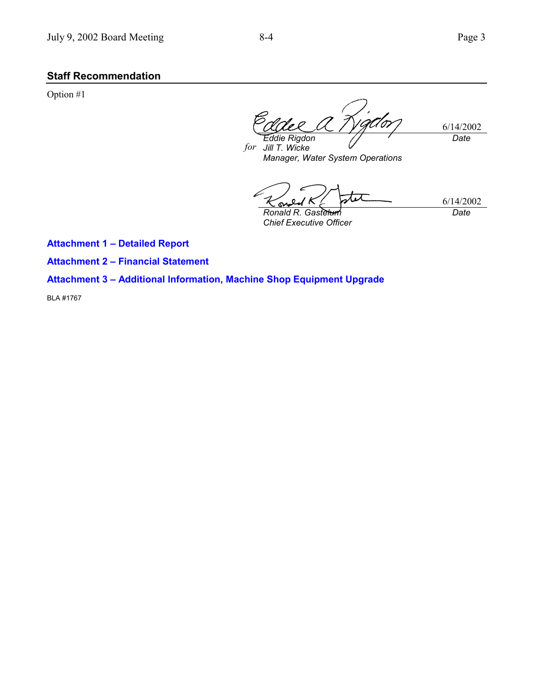# **Staff Recommendation**

Option #1

H 0T 6/14/2002 *Eddie Rigdon Date*

*for Jill T. Wicke Manager, Water System Operations*

6/14/2002 ۵ *Ronald R. Gastelum Date*

*Chief Executive Officer*

**Attachment 1 - Detailed Report** 

**Attachment 2 - Financial Statement** 

**Attachment 3 - Additional Information, Machine Shop Equipment Upgrade** 

BLA #1767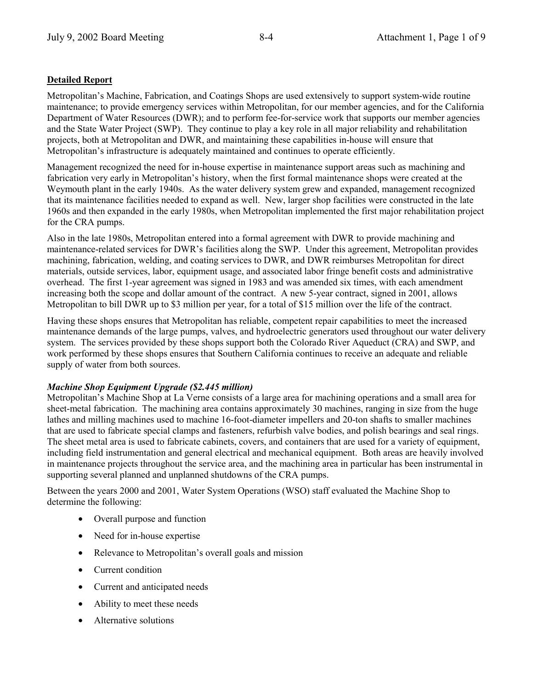## **Detailed Report**

Metropolitanís Machine, Fabrication, and Coatings Shops are used extensively to support system-wide routine maintenance; to provide emergency services within Metropolitan, for our member agencies, and for the California Department of Water Resources (DWR); and to perform fee-for-service work that supports our member agencies and the State Water Project (SWP). They continue to play a key role in all major reliability and rehabilitation projects, both at Metropolitan and DWR, and maintaining these capabilities in-house will ensure that Metropolitan's infrastructure is adequately maintained and continues to operate efficiently.

Management recognized the need for in-house expertise in maintenance support areas such as machining and fabrication very early in Metropolitan's history, when the first formal maintenance shops were created at the Weymouth plant in the early 1940s. As the water delivery system grew and expanded, management recognized that its maintenance facilities needed to expand as well. New, larger shop facilities were constructed in the late 1960s and then expanded in the early 1980s, when Metropolitan implemented the first major rehabilitation project for the CRA pumps.

Also in the late 1980s, Metropolitan entered into a formal agreement with DWR to provide machining and maintenance-related services for DWR's facilities along the SWP. Under this agreement, Metropolitan provides machining, fabrication, welding, and coating services to DWR, and DWR reimburses Metropolitan for direct materials, outside services, labor, equipment usage, and associated labor fringe benefit costs and administrative overhead. The first 1-year agreement was signed in 1983 and was amended six times, with each amendment increasing both the scope and dollar amount of the contract. A new 5-year contract, signed in 2001, allows Metropolitan to bill DWR up to \$3 million per year, for a total of \$15 million over the life of the contract.

Having these shops ensures that Metropolitan has reliable, competent repair capabilities to meet the increased maintenance demands of the large pumps, valves, and hydroelectric generators used throughout our water delivery system. The services provided by these shops support both the Colorado River Aqueduct (CRA) and SWP, and work performed by these shops ensures that Southern California continues to receive an adequate and reliable supply of water from both sources.

#### *Machine Shop Equipment Upgrade (\$2.445 million)*

Metropolitan's Machine Shop at La Verne consists of a large area for machining operations and a small area for sheet-metal fabrication. The machining area contains approximately 30 machines, ranging in size from the huge lathes and milling machines used to machine 16-foot-diameter impellers and 20-ton shafts to smaller machines that are used to fabricate special clamps and fasteners, refurbish valve bodies, and polish bearings and seal rings. The sheet metal area is used to fabricate cabinets, covers, and containers that are used for a variety of equipment, including field instrumentation and general electrical and mechanical equipment. Both areas are heavily involved in maintenance projects throughout the service area, and the machining area in particular has been instrumental in supporting several planned and unplanned shutdowns of the CRA pumps.

Between the years 2000 and 2001, Water System Operations (WSO) staff evaluated the Machine Shop to determine the following:

- Overall purpose and function
- Need for in-house expertise
- Relevance to Metropolitan's overall goals and mission
- Current condition
- Current and anticipated needs
- Ability to meet these needs
- Alternative solutions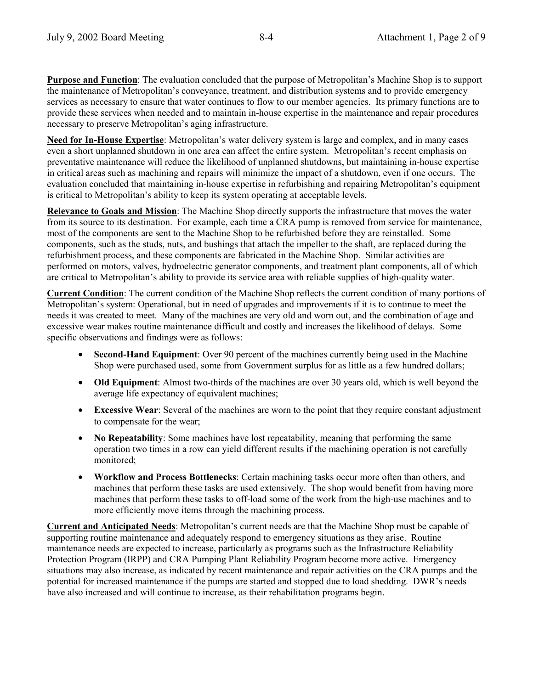**Purpose and Function**: The evaluation concluded that the purpose of Metropolitan's Machine Shop is to support the maintenance of Metropolitanís conveyance, treatment, and distribution systems and to provide emergency services as necessary to ensure that water continues to flow to our member agencies. Its primary functions are to provide these services when needed and to maintain in-house expertise in the maintenance and repair procedures necessary to preserve Metropolitan's aging infrastructure.

**Need for In-House Expertise**: Metropolitan's water delivery system is large and complex, and in many cases even a short unplanned shutdown in one area can affect the entire system. Metropolitan's recent emphasis on preventative maintenance will reduce the likelihood of unplanned shutdowns, but maintaining in-house expertise in critical areas such as machining and repairs will minimize the impact of a shutdown, even if one occurs. The evaluation concluded that maintaining in-house expertise in refurbishing and repairing Metropolitan's equipment is critical to Metropolitan's ability to keep its system operating at acceptable levels.

**Relevance to Goals and Mission**: The Machine Shop directly supports the infrastructure that moves the water from its source to its destination. For example, each time a CRA pump is removed from service for maintenance, most of the components are sent to the Machine Shop to be refurbished before they are reinstalled. Some components, such as the studs, nuts, and bushings that attach the impeller to the shaft, are replaced during the refurbishment process, and these components are fabricated in the Machine Shop. Similar activities are performed on motors, valves, hydroelectric generator components, and treatment plant components, all of which are critical to Metropolitan's ability to provide its service area with reliable supplies of high-quality water.

**Current Condition**: The current condition of the Machine Shop reflects the current condition of many portions of Metropolitan's system: Operational, but in need of upgrades and improvements if it is to continue to meet the needs it was created to meet. Many of the machines are very old and worn out, and the combination of age and excessive wear makes routine maintenance difficult and costly and increases the likelihood of delays. Some specific observations and findings were as follows:

- **Second-Hand Equipment**: Over 90 percent of the machines currently being used in the Machine Shop were purchased used, some from Government surplus for as little as a few hundred dollars;
- **Old Equipment**: Almost two-thirds of the machines are over 30 years old, which is well beyond the average life expectancy of equivalent machines;
- **Excessive Wear**: Several of the machines are worn to the point that they require constant adjustment to compensate for the wear;
- **No Repeatability**: Some machines have lost repeatability, meaning that performing the same operation two times in a row can yield different results if the machining operation is not carefully monitored;
- **Workflow and Process Bottlenecks**: Certain machining tasks occur more often than others, and machines that perform these tasks are used extensively. The shop would benefit from having more machines that perform these tasks to off-load some of the work from the high-use machines and to more efficiently move items through the machining process.

**Current and Anticipated Needs**: Metropolitan's current needs are that the Machine Shop must be capable of supporting routine maintenance and adequately respond to emergency situations as they arise. Routine maintenance needs are expected to increase, particularly as programs such as the Infrastructure Reliability Protection Program (IRPP) and CRA Pumping Plant Reliability Program become more active. Emergency situations may also increase, as indicated by recent maintenance and repair activities on the CRA pumps and the potential for increased maintenance if the pumps are started and stopped due to load shedding. DWR's needs have also increased and will continue to increase, as their rehabilitation programs begin.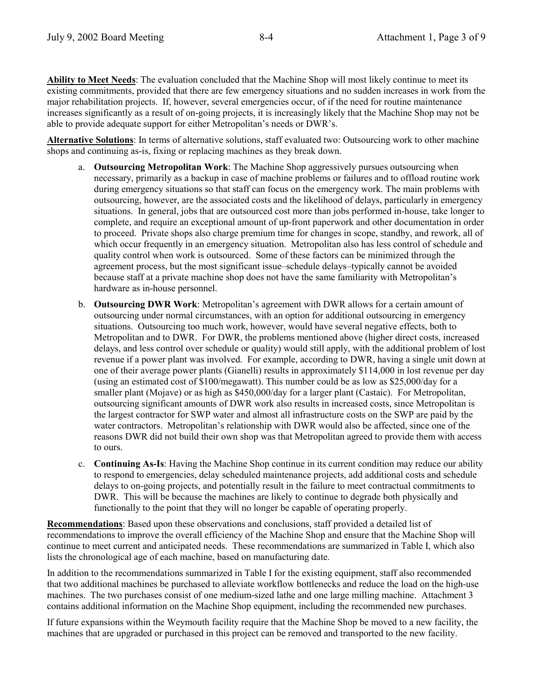**Ability to Meet Needs**: The evaluation concluded that the Machine Shop will most likely continue to meet its existing commitments, provided that there are few emergency situations and no sudden increases in work from the major rehabilitation projects. If, however, several emergencies occur, of if the need for routine maintenance increases significantly as a result of on-going projects, it is increasingly likely that the Machine Shop may not be able to provide adequate support for either Metropolitan's needs or DWR's.

**Alternative Solutions**: In terms of alternative solutions, staff evaluated two: Outsourcing work to other machine shops and continuing as-is, fixing or replacing machines as they break down.

- a. **Outsourcing Metropolitan Work**: The Machine Shop aggressively pursues outsourcing when necessary, primarily as a backup in case of machine problems or failures and to offload routine work during emergency situations so that staff can focus on the emergency work. The main problems with outsourcing, however, are the associated costs and the likelihood of delays, particularly in emergency situations. In general, jobs that are outsourced cost more than jobs performed in-house, take longer to complete, and require an exceptional amount of up-front paperwork and other documentation in order to proceed. Private shops also charge premium time for changes in scope, standby, and rework, all of which occur frequently in an emergency situation. Metropolitan also has less control of schedule and quality control when work is outsourced. Some of these factors can be minimized through the agreement process, but the most significant issue–schedule delays–typically cannot be avoided because staff at a private machine shop does not have the same familiarity with Metropolitan's hardware as in-house personnel.
- b. **Outsourcing DWR Work**: Metropolitanís agreement with DWR allows for a certain amount of outsourcing under normal circumstances, with an option for additional outsourcing in emergency situations. Outsourcing too much work, however, would have several negative effects, both to Metropolitan and to DWR. For DWR, the problems mentioned above (higher direct costs, increased delays, and less control over schedule or quality) would still apply, with the additional problem of lost revenue if a power plant was involved. For example, according to DWR, having a single unit down at one of their average power plants (Gianelli) results in approximately \$114,000 in lost revenue per day (using an estimated cost of \$100/megawatt). This number could be as low as \$25,000/day for a smaller plant (Mojave) or as high as \$450,000/day for a larger plant (Castaic). For Metropolitan, outsourcing significant amounts of DWR work also results in increased costs, since Metropolitan is the largest contractor for SWP water and almost all infrastructure costs on the SWP are paid by the water contractors. Metropolitan's relationship with DWR would also be affected, since one of the reasons DWR did not build their own shop was that Metropolitan agreed to provide them with access to ours.
- c. **Continuing As-Is**: Having the Machine Shop continue in its current condition may reduce our ability to respond to emergencies, delay scheduled maintenance projects, add additional costs and schedule delays to on-going projects, and potentially result in the failure to meet contractual commitments to DWR. This will be because the machines are likely to continue to degrade both physically and functionally to the point that they will no longer be capable of operating properly.

**Recommendations**: Based upon these observations and conclusions, staff provided a detailed list of recommendations to improve the overall efficiency of the Machine Shop and ensure that the Machine Shop will continue to meet current and anticipated needs. These recommendations are summarized in Table I, which also lists the chronological age of each machine, based on manufacturing date.

In addition to the recommendations summarized in Table I for the existing equipment, staff also recommended that two additional machines be purchased to alleviate workflow bottlenecks and reduce the load on the high-use machines. The two purchases consist of one medium-sized lathe and one large milling machine. Attachment 3 contains additional information on the Machine Shop equipment, including the recommended new purchases.

If future expansions within the Weymouth facility require that the Machine Shop be moved to a new facility, the machines that are upgraded or purchased in this project can be removed and transported to the new facility.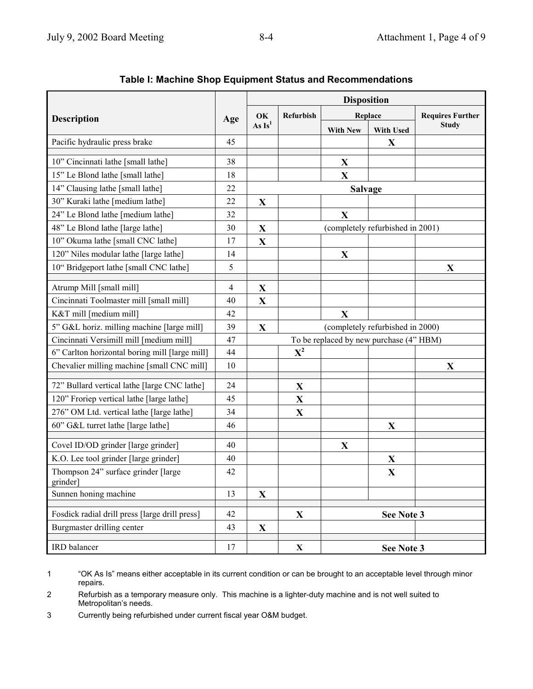|                                                |                | <b>Disposition</b> |                                         |                                  |                                  |                         |
|------------------------------------------------|----------------|--------------------|-----------------------------------------|----------------------------------|----------------------------------|-------------------------|
| <b>Description</b>                             |                | OK<br>As $Is^1$    | Refurbish                               | Replace                          |                                  | <b>Requires Further</b> |
|                                                |                |                    |                                         | <b>With New</b>                  | <b>With Used</b>                 | <b>Study</b>            |
| Pacific hydraulic press brake                  | 45             |                    |                                         |                                  | X                                |                         |
| 10" Cincinnati lathe [small lathe]             | 38             |                    |                                         | X                                |                                  |                         |
| 15" Le Blond lathe [small lathe]               | 18             |                    |                                         | X                                |                                  |                         |
| 14" Clausing lathe [small lathe]               | 22             |                    |                                         | <b>Salvage</b>                   |                                  |                         |
| 30" Kuraki lathe [medium lathe]                | 22             | $\mathbf X$        |                                         |                                  |                                  |                         |
| 24" Le Blond lathe [medium lathe]              | 32             |                    |                                         | X                                |                                  |                         |
| 48" Le Blond lathe [large lathe]               | 30             | X                  |                                         |                                  | (completely refurbished in 2001) |                         |
| 10" Okuma lathe [small CNC lathe]              | 17             | X                  |                                         |                                  |                                  |                         |
| 120" Niles modular lathe [large lathe]         | 14             |                    |                                         | $\mathbf X$                      |                                  |                         |
| 10" Bridgeport lathe [small CNC lathe]         | 5              |                    |                                         |                                  |                                  | $\mathbf{X}$            |
| Atrump Mill [small mill]                       | $\overline{4}$ | X                  |                                         |                                  |                                  |                         |
| Cincinnati Toolmaster mill [small mill]        | 40             | $\mathbf X$        |                                         |                                  |                                  |                         |
| K&T mill [medium mill]                         |                |                    |                                         | X                                |                                  |                         |
| 5" G&L horiz. milling machine [large mill]     | 39             | X                  |                                         | (completely refurbished in 2000) |                                  |                         |
| Cincinnati Versimill mill [medium mill]        | 47             |                    | To be replaced by new purchase (4" HBM) |                                  |                                  |                         |
| 6" Carlton horizontal boring mill [large mill] | 44             |                    | $X^2$                                   |                                  |                                  |                         |
| Chevalier milling machine [small CNC mill]     | 10             |                    |                                         |                                  |                                  | X                       |
| 72" Bullard vertical lathe [large CNC lathe]   | 24             |                    | $\mathbf X$                             |                                  |                                  |                         |
| 120" Froriep vertical lathe [large lathe]      | 45             |                    | $\mathbf X$                             |                                  |                                  |                         |
| 276" OM Ltd. vertical lathe [large lathe]      | 34             |                    | $\mathbf X$                             |                                  |                                  |                         |
| 60" G&L turret lathe [large lathe]             | 46             |                    |                                         |                                  | X                                |                         |
| Covel ID/OD grinder [large grinder]            | 40             |                    |                                         | X                                |                                  |                         |
| K.O. Lee tool grinder [large grinder]          | 40             |                    |                                         |                                  | X                                |                         |
| Thompson 24" surface grinder [large<br>grinder | 42             |                    |                                         |                                  | $\mathbf X$                      |                         |
| Sunnen honing machine                          | 13             | $\mathbf X$        |                                         |                                  |                                  |                         |
| Fosdick radial drill press [large drill press] | 42             |                    | $\mathbf{X}$                            | See Note 3                       |                                  |                         |
| Burgmaster drilling center                     | 43             | X                  |                                         |                                  |                                  |                         |
| IRD balancer                                   | 17             |                    | $\mathbf X$                             | See Note 3                       |                                  |                         |

# **Table I: Machine Shop Equipment Status and Recommendations**

1 <sup>"</sup>OK As Is" means either acceptable in its current condition or can be brought to an acceptable level through minor repairs.

2 Refurbish as a temporary measure only. This machine is a lighter-duty machine and is not well suited to Metropolitan's needs.

3 Currently being refurbished under current fiscal year O&M budget.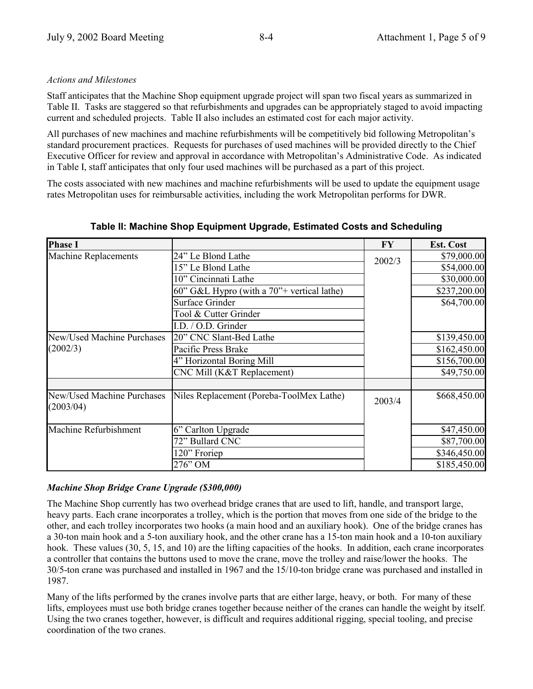#### *Actions and Milestones*

Staff anticipates that the Machine Shop equipment upgrade project will span two fiscal years as summarized in Table II. Tasks are staggered so that refurbishments and upgrades can be appropriately staged to avoid impacting current and scheduled projects. Table II also includes an estimated cost for each major activity.

All purchases of new machines and machine refurbishments will be competitively bid following Metropolitan's standard procurement practices. Requests for purchases of used machines will be provided directly to the Chief Executive Officer for review and approval in accordance with Metropolitan's Administrative Code. As indicated in Table I, staff anticipates that only four used machines will be purchased as a part of this project.

The costs associated with new machines and machine refurbishments will be used to update the equipment usage rates Metropolitan uses for reimbursable activities, including the work Metropolitan performs for DWR.

| <b>Phase I</b>                                 |                                               | FY     | <b>Est. Cost</b> |
|------------------------------------------------|-----------------------------------------------|--------|------------------|
| <b>Machine Replacements</b>                    | 24" Le Blond Lathe                            | 2002/3 | \$79,000.00      |
|                                                | 15" Le Blond Lathe                            |        | \$54,000.00      |
|                                                | 10" Cincinnati Lathe                          |        | \$30,000.00      |
|                                                | 60" G&L Hypro (with a $70"$ + vertical lathe) |        | \$237,200.00     |
|                                                | <b>Surface Grinder</b>                        |        | \$64,700.00      |
|                                                | Tool & Cutter Grinder                         |        |                  |
|                                                | I.D. / O.D. Grinder                           |        |                  |
| <b>New/Used Machine Purchases</b>              | 20" CNC Slant-Bed Lathe                       |        | \$139,450.00     |
| (2002/3)                                       | Pacific Press Brake                           |        | \$162,450.00     |
|                                                | 4" Horizontal Boring Mill                     |        | \$156,700.00     |
|                                                | CNC Mill (K&T Replacement)                    |        | \$49,750.00      |
|                                                |                                               |        |                  |
| <b>New/Used Machine Purchases</b><br>(2003/04) | Niles Replacement (Poreba-ToolMex Lathe)      |        | \$668,450.00     |
| Machine Refurbishment                          | 6" Carlton Upgrade                            |        | \$47,450.00      |
|                                                | 72" Bullard CNC                               |        | \$87,700.00      |
|                                                | 120" Froriep                                  |        | \$346,450.00     |
|                                                | 276" OM                                       |        | \$185,450.00     |

**Table II: Machine Shop Equipment Upgrade, Estimated Costs and Scheduling**

#### *Machine Shop Bridge Crane Upgrade (\$300,000)*

The Machine Shop currently has two overhead bridge cranes that are used to lift, handle, and transport large, heavy parts. Each crane incorporates a trolley, which is the portion that moves from one side of the bridge to the other, and each trolley incorporates two hooks (a main hood and an auxiliary hook). One of the bridge cranes has a 30-ton main hook and a 5-ton auxiliary hook, and the other crane has a 15-ton main hook and a 10-ton auxiliary hook. These values (30, 5, 15, and 10) are the lifting capacities of the hooks. In addition, each crane incorporates a controller that contains the buttons used to move the crane, move the trolley and raise/lower the hooks. The 30/5-ton crane was purchased and installed in 1967 and the 15/10-ton bridge crane was purchased and installed in 1987.

Many of the lifts performed by the cranes involve parts that are either large, heavy, or both. For many of these lifts, employees must use both bridge cranes together because neither of the cranes can handle the weight by itself. Using the two cranes together, however, is difficult and requires additional rigging, special tooling, and precise coordination of the two cranes.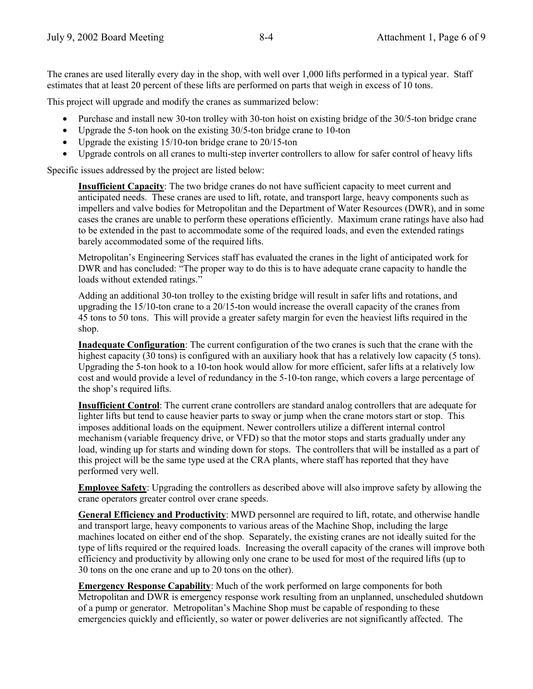The cranes are used literally every day in the shop, with well over 1,000 lifts performed in a typical year. Staff estimates that at least 20 percent of these lifts are performed on parts that weigh in excess of 10 tons.

This project will upgrade and modify the cranes as summarized below:

- Purchase and install new 30-ton trolley with 30-ton hoist on existing bridge of the 30/5-ton bridge crane
- Upgrade the 5-ton hook on the existing 30/5-ton bridge crane to 10-ton
- Upgrade the existing 15/10-ton bridge crane to 20/15-ton
- Upgrade controls on all cranes to multi-step inverter controllers to allow for safer control of heavy lifts

Specific issues addressed by the project are listed below:

**Insufficient Capacity**: The two bridge cranes do not have sufficient capacity to meet current and anticipated needs. These cranes are used to lift, rotate, and transport large, heavy components such as impellers and valve bodies for Metropolitan and the Department of Water Resources (DWR), and in some cases the cranes are unable to perform these operations efficiently. Maximum crane ratings have also had to be extended in the past to accommodate some of the required loads, and even the extended ratings barely accommodated some of the required lifts.

Metropolitan's Engineering Services staff has evaluated the cranes in the light of anticipated work for DWR and has concluded: "The proper way to do this is to have adequate crane capacity to handle the loads without extended ratings."

Adding an additional 30-ton trolley to the existing bridge will result in safer lifts and rotations, and upgrading the 15/10-ton crane to a 20/15-ton would increase the overall capacity of the cranes from 45 tons to 50 tons. This will provide a greater safety margin for even the heaviest lifts required in the shop.

**Inadequate Configuration**: The current configuration of the two cranes is such that the crane with the highest capacity (30 tons) is configured with an auxiliary hook that has a relatively low capacity (5 tons). Upgrading the 5-ton hook to a 10-ton hook would allow for more efficient, safer lifts at a relatively low cost and would provide a level of redundancy in the 5-10-ton range, which covers a large percentage of the shop's required lifts.

**Insufficient Control**: The current crane controllers are standard analog controllers that are adequate for lighter lifts but tend to cause heavier parts to sway or jump when the crane motors start or stop. This imposes additional loads on the equipment. Newer controllers utilize a different internal control mechanism (variable frequency drive, or VFD) so that the motor stops and starts gradually under any load, winding up for starts and winding down for stops. The controllers that will be installed as a part of this project will be the same type used at the CRA plants, where staff has reported that they have performed very well.

**Employee Safety**: Upgrading the controllers as described above will also improve safety by allowing the crane operators greater control over crane speeds.

**General Efficiency and Productivity**: MWD personnel are required to lift, rotate, and otherwise handle and transport large, heavy components to various areas of the Machine Shop, including the large machines located on either end of the shop. Separately, the existing cranes are not ideally suited for the type of lifts required or the required loads. Increasing the overall capacity of the cranes will improve both efficiency and productivity by allowing only one crane to be used for most of the required lifts (up to 30 tons on the one crane and up to 20 tons on the other).

**Emergency Response Capability**: Much of the work performed on large components for both Metropolitan and DWR is emergency response work resulting from an unplanned, unscheduled shutdown of a pump or generator. Metropolitan's Machine Shop must be capable of responding to these emergencies quickly and efficiently, so water or power deliveries are not significantly affected. The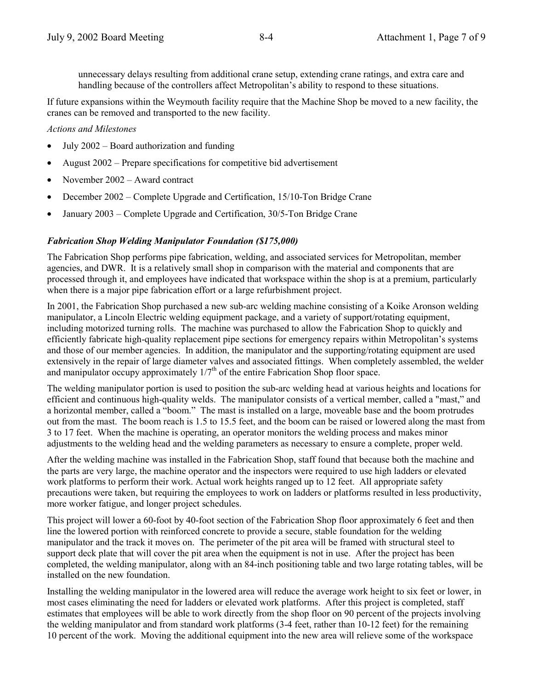unnecessary delays resulting from additional crane setup, extending crane ratings, and extra care and handling because of the controllers affect Metropolitan's ability to respond to these situations.

If future expansions within the Weymouth facility require that the Machine Shop be moved to a new facility, the cranes can be removed and transported to the new facility.

*Actions and Milestones*

- July  $2002$  Board authorization and funding
- August  $2002$  Prepare specifications for competitive bid advertisement
- November  $2002 -$  Award contract
- December 2002 Complete Upgrade and Certification, 15/10-Ton Bridge Crane
- January 2003 Complete Upgrade and Certification, 30/5-Ton Bridge Crane

#### *Fabrication Shop Welding Manipulator Foundation (\$175,000)*

The Fabrication Shop performs pipe fabrication, welding, and associated services for Metropolitan, member agencies, and DWR. It is a relatively small shop in comparison with the material and components that are processed through it, and employees have indicated that workspace within the shop is at a premium, particularly when there is a major pipe fabrication effort or a large refurbishment project.

In 2001, the Fabrication Shop purchased a new sub-arc welding machine consisting of a Koike Aronson welding manipulator, a Lincoln Electric welding equipment package, and a variety of support/rotating equipment, including motorized turning rolls. The machine was purchased to allow the Fabrication Shop to quickly and efficiently fabricate high-quality replacement pipe sections for emergency repairs within Metropolitan's systems and those of our member agencies. In addition, the manipulator and the supporting/rotating equipment are used extensively in the repair of large diameter valves and associated fittings. When completely assembled, the welder and manipulator occupy approximately  $1/7<sup>th</sup>$  of the entire Fabrication Shop floor space.

The welding manipulator portion is used to position the sub-arc welding head at various heights and locations for efficient and continuous high-quality welds. The manipulator consists of a vertical member, called a "mast," and a horizontal member, called a "boom." The mast is installed on a large, moveable base and the boom protrudes out from the mast. The boom reach is 1.5 to 15.5 feet, and the boom can be raised or lowered along the mast from 3 to 17 feet. When the machine is operating, an operator monitors the welding process and makes minor adjustments to the welding head and the welding parameters as necessary to ensure a complete, proper weld.

After the welding machine was installed in the Fabrication Shop, staff found that because both the machine and the parts are very large, the machine operator and the inspectors were required to use high ladders or elevated work platforms to perform their work. Actual work heights ranged up to 12 feet. All appropriate safety precautions were taken, but requiring the employees to work on ladders or platforms resulted in less productivity, more worker fatigue, and longer project schedules.

This project will lower a 60-foot by 40-foot section of the Fabrication Shop floor approximately 6 feet and then line the lowered portion with reinforced concrete to provide a secure, stable foundation for the welding manipulator and the track it moves on. The perimeter of the pit area will be framed with structural steel to support deck plate that will cover the pit area when the equipment is not in use. After the project has been completed, the welding manipulator, along with an 84-inch positioning table and two large rotating tables, will be installed on the new foundation.

Installing the welding manipulator in the lowered area will reduce the average work height to six feet or lower, in most cases eliminating the need for ladders or elevated work platforms. After this project is completed, staff estimates that employees will be able to work directly from the shop floor on 90 percent of the projects involving the welding manipulator and from standard work platforms (3-4 feet, rather than 10-12 feet) for the remaining 10 percent of the work. Moving the additional equipment into the new area will relieve some of the workspace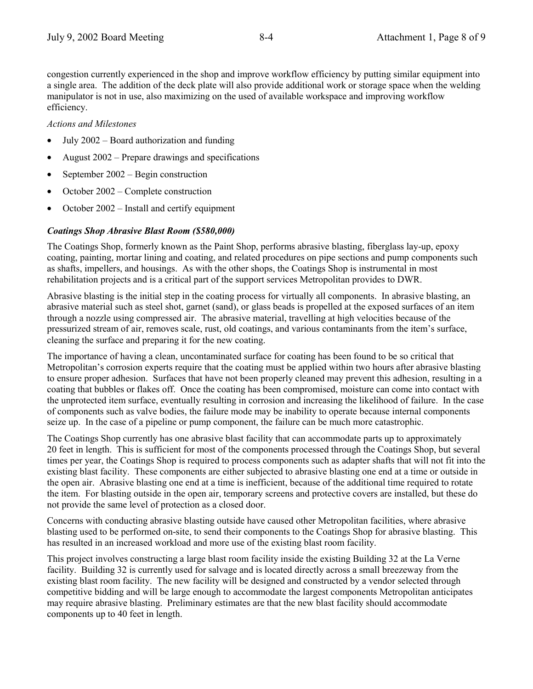congestion currently experienced in the shop and improve workflow efficiency by putting similar equipment into a single area. The addition of the deck plate will also provide additional work or storage space when the welding manipulator is not in use, also maximizing on the used of available workspace and improving workflow efficiency.

#### *Actions and Milestones*

- July  $2002 -$  Board authorization and funding
- August  $2002$  Prepare drawings and specifications
- September  $2002 -$ Begin construction
- October  $2002$  Complete construction
- October  $2002$  Install and certify equipment

#### *Coatings Shop Abrasive Blast Room (\$580,000)*

The Coatings Shop, formerly known as the Paint Shop, performs abrasive blasting, fiberglass lay-up, epoxy coating, painting, mortar lining and coating, and related procedures on pipe sections and pump components such as shafts, impellers, and housings. As with the other shops, the Coatings Shop is instrumental in most rehabilitation projects and is a critical part of the support services Metropolitan provides to DWR.

Abrasive blasting is the initial step in the coating process for virtually all components. In abrasive blasting, an abrasive material such as steel shot, garnet (sand), or glass beads is propelled at the exposed surfaces of an item through a nozzle using compressed air. The abrasive material, travelling at high velocities because of the pressurized stream of air, removes scale, rust, old coatings, and various contaminants from the itemís surface, cleaning the surface and preparing it for the new coating.

The importance of having a clean, uncontaminated surface for coating has been found to be so critical that Metropolitanís corrosion experts require that the coating must be applied within two hours after abrasive blasting to ensure proper adhesion. Surfaces that have not been properly cleaned may prevent this adhesion, resulting in a coating that bubbles or flakes off. Once the coating has been compromised, moisture can come into contact with the unprotected item surface, eventually resulting in corrosion and increasing the likelihood of failure. In the case of components such as valve bodies, the failure mode may be inability to operate because internal components seize up. In the case of a pipeline or pump component, the failure can be much more catastrophic.

The Coatings Shop currently has one abrasive blast facility that can accommodate parts up to approximately 20 feet in length. This is sufficient for most of the components processed through the Coatings Shop, but several times per year, the Coatings Shop is required to process components such as adapter shafts that will not fit into the existing blast facility. These components are either subjected to abrasive blasting one end at a time or outside in the open air. Abrasive blasting one end at a time is inefficient, because of the additional time required to rotate the item. For blasting outside in the open air, temporary screens and protective covers are installed, but these do not provide the same level of protection as a closed door.

Concerns with conducting abrasive blasting outside have caused other Metropolitan facilities, where abrasive blasting used to be performed on-site, to send their components to the Coatings Shop for abrasive blasting. This has resulted in an increased workload and more use of the existing blast room facility.

This project involves constructing a large blast room facility inside the existing Building 32 at the La Verne facility. Building 32 is currently used for salvage and is located directly across a small breezeway from the existing blast room facility. The new facility will be designed and constructed by a vendor selected through competitive bidding and will be large enough to accommodate the largest components Metropolitan anticipates may require abrasive blasting. Preliminary estimates are that the new blast facility should accommodate components up to 40 feet in length.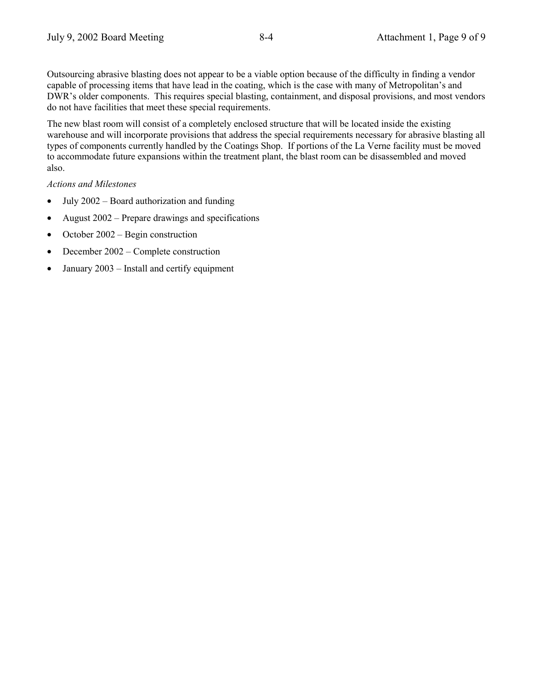Outsourcing abrasive blasting does not appear to be a viable option because of the difficulty in finding a vendor capable of processing items that have lead in the coating, which is the case with many of Metropolitan's and DWR's older components. This requires special blasting, containment, and disposal provisions, and most vendors do not have facilities that meet these special requirements.

The new blast room will consist of a completely enclosed structure that will be located inside the existing warehouse and will incorporate provisions that address the special requirements necessary for abrasive blasting all types of components currently handled by the Coatings Shop. If portions of the La Verne facility must be moved to accommodate future expansions within the treatment plant, the blast room can be disassembled and moved also.

# *Actions and Milestones*

- July  $2002$  Board authorization and funding
- August  $2002$  Prepare drawings and specifications
- October  $2002 \text{Begin construction}$
- December  $2002$  Complete construction
- January  $2003$  Install and certify equipment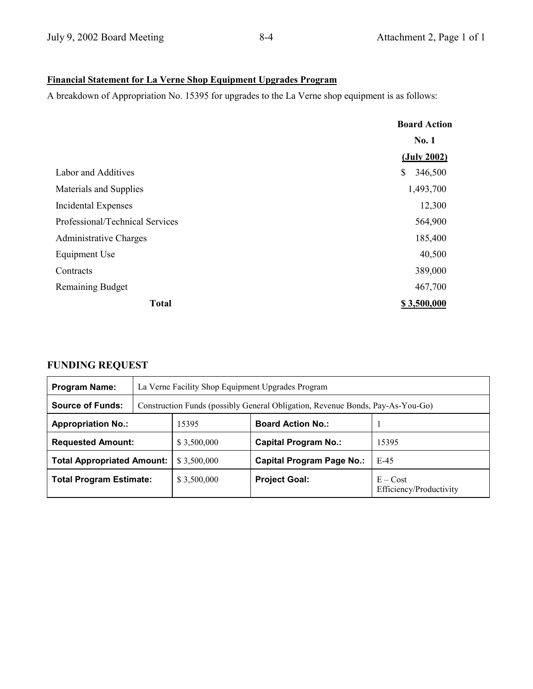# **Financial Statement for La Verne Shop Equipment Upgrades Program**

A breakdown of Appropriation No. 15395 for upgrades to the La Verne shop equipment is as follows:

|                                 | <b>Board Action</b> |  |
|---------------------------------|---------------------|--|
|                                 | <b>No. 1</b>        |  |
|                                 | (July 2002)         |  |
| Labor and Additives             | \$<br>346,500       |  |
| Materials and Supplies          | 1,493,700           |  |
| <b>Incidental Expenses</b>      | 12,300              |  |
| Professional/Technical Services | 564,900             |  |
| <b>Administrative Charges</b>   | 185,400             |  |
| Equipment Use                   | 40,500              |  |
| Contracts                       | 389,000             |  |
| <b>Remaining Budget</b>         | 467,700             |  |
| <b>Total</b>                    | \$3,500,000         |  |

# **FUNDING REQUEST**

| <b>Program Name:</b>                    | La Verne Facility Shop Equipment Upgrades Program |                                                                                |                                  |                                       |  |  |  |
|-----------------------------------------|---------------------------------------------------|--------------------------------------------------------------------------------|----------------------------------|---------------------------------------|--|--|--|
| <b>Source of Funds:</b>                 |                                                   | Construction Funds (possibly General Obligation, Revenue Bonds, Pay-As-You-Go) |                                  |                                       |  |  |  |
| <b>Appropriation No.:</b>               | 15395<br><b>Board Action No.:</b>                 |                                                                                |                                  |                                       |  |  |  |
| <b>Requested Amount:</b><br>\$3,500,000 |                                                   |                                                                                | <b>Capital Program No.:</b>      | 15395                                 |  |  |  |
| <b>Total Appropriated Amount:</b>       |                                                   | \$3,500,000                                                                    | <b>Capital Program Page No.:</b> | $E-45$                                |  |  |  |
| <b>Total Program Estimate:</b>          |                                                   | \$3,500,000                                                                    | <b>Project Goal:</b>             | $E - Cost$<br>Efficiency/Productivity |  |  |  |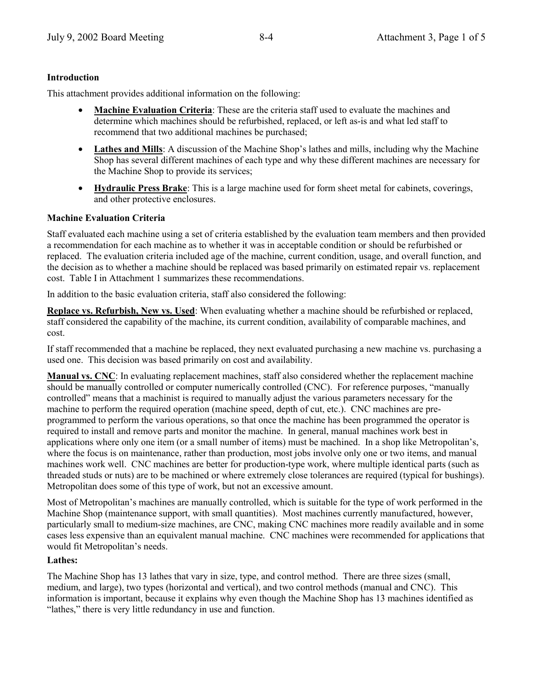#### **Introduction**

This attachment provides additional information on the following:

- **Machine Evaluation Criteria**: These are the criteria staff used to evaluate the machines and determine which machines should be refurbished, replaced, or left as-is and what led staff to recommend that two additional machines be purchased;
- Lathes and Mills: A discussion of the Machine Shop's lathes and mills, including why the Machine Shop has several different machines of each type and why these different machines are necessary for the Machine Shop to provide its services;
- **Hydraulic Press Brake**: This is a large machine used for form sheet metal for cabinets, coverings, and other protective enclosures.

#### **Machine Evaluation Criteria**

Staff evaluated each machine using a set of criteria established by the evaluation team members and then provided a recommendation for each machine as to whether it was in acceptable condition or should be refurbished or replaced. The evaluation criteria included age of the machine, current condition, usage, and overall function, and the decision as to whether a machine should be replaced was based primarily on estimated repair vs. replacement cost. Table I in Attachment 1 summarizes these recommendations.

In addition to the basic evaluation criteria, staff also considered the following:

**Replace vs. Refurbish, New vs. Used**: When evaluating whether a machine should be refurbished or replaced, staff considered the capability of the machine, its current condition, availability of comparable machines, and cost.

If staff recommended that a machine be replaced, they next evaluated purchasing a new machine vs. purchasing a used one. This decision was based primarily on cost and availability.

**Manual vs. CNC**: In evaluating replacement machines, staff also considered whether the replacement machine should be manually controlled or computer numerically controlled (CNC). For reference purposes, "manually controlled" means that a machinist is required to manually adjust the various parameters necessary for the machine to perform the required operation (machine speed, depth of cut, etc.). CNC machines are preprogrammed to perform the various operations, so that once the machine has been programmed the operator is required to install and remove parts and monitor the machine. In general, manual machines work best in applications where only one item (or a small number of items) must be machined. In a shop like Metropolitan's, where the focus is on maintenance, rather than production, most jobs involve only one or two items, and manual machines work well. CNC machines are better for production-type work, where multiple identical parts (such as threaded studs or nuts) are to be machined or where extremely close tolerances are required (typical for bushings). Metropolitan does some of this type of work, but not an excessive amount.

Most of Metropolitan's machines are manually controlled, which is suitable for the type of work performed in the Machine Shop (maintenance support, with small quantities). Most machines currently manufactured, however, particularly small to medium-size machines, are CNC, making CNC machines more readily available and in some cases less expensive than an equivalent manual machine. CNC machines were recommended for applications that would fit Metropolitan's needs.

#### **Lathes:**

The Machine Shop has 13 lathes that vary in size, type, and control method. There are three sizes (small, medium, and large), two types (horizontal and vertical), and two control methods (manual and CNC). This information is important, because it explains why even though the Machine Shop has 13 machines identified as "lathes," there is very little redundancy in use and function.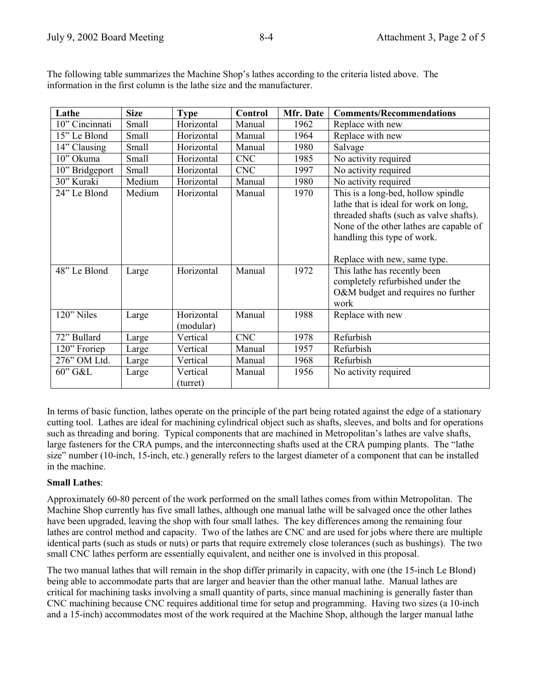| Lathe                        | <b>Size</b>     | <b>Type</b>              | Control          | Mfr. Date    | <b>Comments/Recommendations</b>                                                                                                                                                                                                                                                                                                            |
|------------------------------|-----------------|--------------------------|------------------|--------------|--------------------------------------------------------------------------------------------------------------------------------------------------------------------------------------------------------------------------------------------------------------------------------------------------------------------------------------------|
| 10" Cincinnati               | Small           | Horizontal               | Manual           | 1962         | Replace with new                                                                                                                                                                                                                                                                                                                           |
| 15" Le Blond                 | Small           | Horizontal               | Manual           | 1964         | Replace with new                                                                                                                                                                                                                                                                                                                           |
| 14" Clausing                 | Small           | Horizontal               | Manual           | 1980         | Salvage                                                                                                                                                                                                                                                                                                                                    |
| 10" Okuma                    | Small           | Horizontal               | <b>CNC</b>       | 1985         | No activity required                                                                                                                                                                                                                                                                                                                       |
| 10" Bridgeport               | Small           | Horizontal               | <b>CNC</b>       | 1997         | No activity required                                                                                                                                                                                                                                                                                                                       |
| 30" Kuraki                   | Medium          | Horizontal               | Manual           | 1980         | No activity required                                                                                                                                                                                                                                                                                                                       |
| 24" Le Blond<br>48" Le Blond | Medium<br>Large | Horizontal<br>Horizontal | Manual<br>Manual | 1970<br>1972 | This is a long-bed, hollow spindle<br>lathe that is ideal for work on long,<br>threaded shafts (such as valve shafts).<br>None of the other lathes are capable of<br>handling this type of work.<br>Replace with new, same type.<br>This lathe has recently been<br>completely refurbished under the<br>O&M budget and requires no further |
|                              |                 |                          |                  |              | work                                                                                                                                                                                                                                                                                                                                       |
| 120" Niles                   | Large           | Horizontal<br>(modular)  | Manual           | 1988         | Replace with new                                                                                                                                                                                                                                                                                                                           |
| 72" Bullard                  | Large           | Vertical                 | <b>CNC</b>       | 1978         | Refurbish                                                                                                                                                                                                                                                                                                                                  |
| 120" Froriep                 | Large           | Vertical                 | Manual           | 1957         | Refurbish                                                                                                                                                                                                                                                                                                                                  |
| 276" OM Ltd.                 | Large           | Vertical                 | Manual           | 1968         | Refurbish                                                                                                                                                                                                                                                                                                                                  |
| 60" G&L                      |                 | Vertical                 | Manual           | 1956         | No activity required                                                                                                                                                                                                                                                                                                                       |
|                              | Large           | (turret)                 |                  |              |                                                                                                                                                                                                                                                                                                                                            |

The following table summarizes the Machine Shop's lathes according to the criteria listed above. The information in the first column is the lathe size and the manufacturer.

In terms of basic function, lathes operate on the principle of the part being rotated against the edge of a stationary cutting tool. Lathes are ideal for machining cylindrical object such as shafts, sleeves, and bolts and for operations such as threading and boring. Typical components that are machined in Metropolitan's lathes are valve shafts, large fasteners for the CRA pumps, and the interconnecting shafts used at the CRA pumping plants. The "lathe" size" number (10-inch, 15-inch, etc.) generally refers to the largest diameter of a component that can be installed in the machine.

#### **Small Lathes**:

Approximately 60-80 percent of the work performed on the small lathes comes from within Metropolitan. The Machine Shop currently has five small lathes, although one manual lathe will be salvaged once the other lathes have been upgraded, leaving the shop with four small lathes. The key differences among the remaining four lathes are control method and capacity. Two of the lathes are CNC and are used for jobs where there are multiple identical parts (such as studs or nuts) or parts that require extremely close tolerances (such as bushings). The two small CNC lathes perform are essentially equivalent, and neither one is involved in this proposal.

The two manual lathes that will remain in the shop differ primarily in capacity, with one (the 15-inch Le Blond) being able to accommodate parts that are larger and heavier than the other manual lathe. Manual lathes are critical for machining tasks involving a small quantity of parts, since manual machining is generally faster than CNC machining because CNC requires additional time for setup and programming. Having two sizes (a 10-inch and a 15-inch) accommodates most of the work required at the Machine Shop, although the larger manual lathe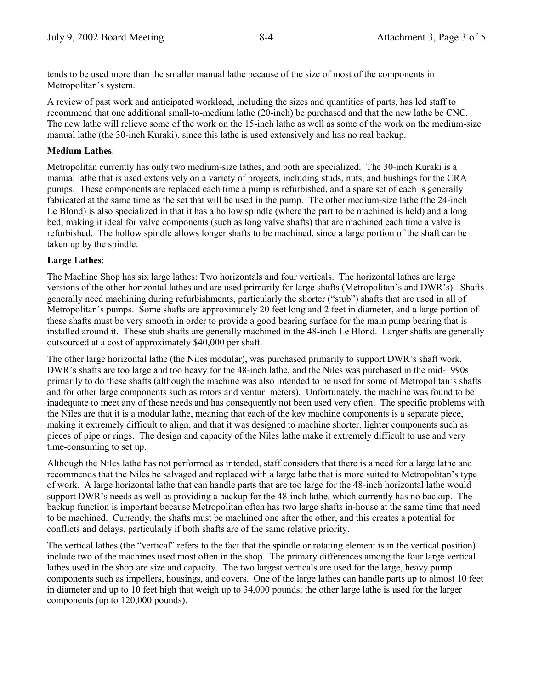tends to be used more than the smaller manual lathe because of the size of most of the components in Metropolitan's system.

A review of past work and anticipated workload, including the sizes and quantities of parts, has led staff to recommend that one additional small-to-medium lathe (20-inch) be purchased and that the new lathe be CNC. The new lathe will relieve some of the work on the 15-inch lathe as well as some of the work on the medium-size manual lathe (the 30-inch Kuraki), since this lathe is used extensively and has no real backup.

#### **Medium Lathes**:

Metropolitan currently has only two medium-size lathes, and both are specialized. The 30-inch Kuraki is a manual lathe that is used extensively on a variety of projects, including studs, nuts, and bushings for the CRA pumps. These components are replaced each time a pump is refurbished, and a spare set of each is generally fabricated at the same time as the set that will be used in the pump. The other medium-size lathe (the 24-inch Le Blond) is also specialized in that it has a hollow spindle (where the part to be machined is held) and a long bed, making it ideal for valve components (such as long valve shafts) that are machined each time a valve is refurbished. The hollow spindle allows longer shafts to be machined, since a large portion of the shaft can be taken up by the spindle.

#### **Large Lathes**:

The Machine Shop has six large lathes: Two horizontals and four verticals. The horizontal lathes are large versions of the other horizontal lathes and are used primarily for large shafts (Metropolitan's and DWR's). Shafts generally need machining during refurbishments, particularly the shorter ("stub") shafts that are used in all of Metropolitan's pumps. Some shafts are approximately 20 feet long and 2 feet in diameter, and a large portion of these shafts must be very smooth in order to provide a good bearing surface for the main pump bearing that is installed around it. These stub shafts are generally machined in the 48-inch Le Blond. Larger shafts are generally outsourced at a cost of approximately \$40,000 per shaft.

The other large horizontal lathe (the Niles modular), was purchased primarily to support DWR's shaft work. DWR's shafts are too large and too heavy for the 48-inch lathe, and the Niles was purchased in the mid-1990s primarily to do these shafts (although the machine was also intended to be used for some of Metropolitanís shafts and for other large components such as rotors and venturi meters). Unfortunately, the machine was found to be inadequate to meet any of these needs and has consequently not been used very often. The specific problems with the Niles are that it is a modular lathe, meaning that each of the key machine components is a separate piece, making it extremely difficult to align, and that it was designed to machine shorter, lighter components such as pieces of pipe or rings. The design and capacity of the Niles lathe make it extremely difficult to use and very time-consuming to set up.

Although the Niles lathe has not performed as intended, staff considers that there is a need for a large lathe and recommends that the Niles be salvaged and replaced with a large lathe that is more suited to Metropolitan's type of work. A large horizontal lathe that can handle parts that are too large for the 48-inch horizontal lathe would support DWR's needs as well as providing a backup for the 48-inch lathe, which currently has no backup. The backup function is important because Metropolitan often has two large shafts in-house at the same time that need to be machined. Currently, the shafts must be machined one after the other, and this creates a potential for conflicts and delays, particularly if both shafts are of the same relative priority.

The vertical lathes (the "vertical" refers to the fact that the spindle or rotating element is in the vertical position) include two of the machines used most often in the shop. The primary differences among the four large vertical lathes used in the shop are size and capacity. The two largest verticals are used for the large, heavy pump components such as impellers, housings, and covers. One of the large lathes can handle parts up to almost 10 feet in diameter and up to 10 feet high that weigh up to 34,000 pounds; the other large lathe is used for the larger components (up to 120,000 pounds).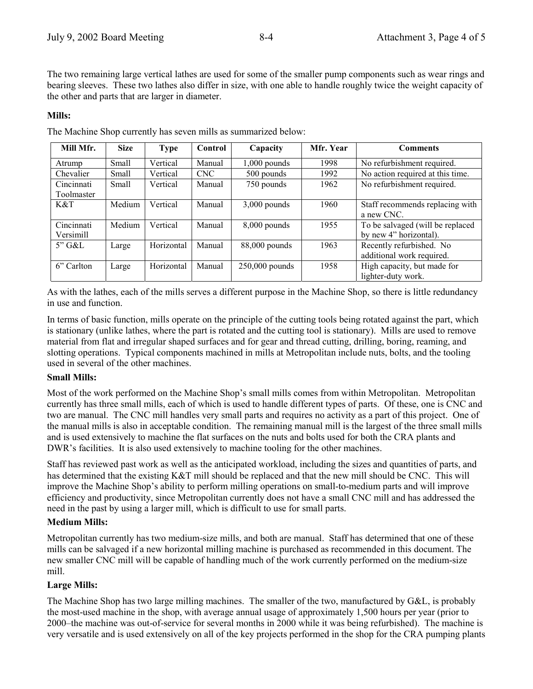The two remaining large vertical lathes are used for some of the smaller pump components such as wear rings and bearing sleeves. These two lathes also differ in size, with one able to handle roughly twice the weight capacity of the other and parts that are larger in diameter.

#### **Mills:**

| Mill Mfr.  | <b>Size</b> | <b>Type</b> | Control    | Capacity         | Mfr. Year | <b>Comments</b>                  |
|------------|-------------|-------------|------------|------------------|-----------|----------------------------------|
| Atrump     | Small       | Vertical    | Manual     | $1,000$ pounds   | 1998      | No refurbishment required.       |
| Chevalier  | Small       | Vertical    | <b>CNC</b> | 500 pounds       | 1992      | No action required at this time. |
| Cincinnati | Small       | Vertical    | Manual     | 750 pounds       | 1962      | No refurbishment required.       |
| Toolmaster |             |             |            |                  |           |                                  |
| K&T        | Medium      | Vertical    | Manual     | $3,000$ pounds   | 1960      | Staff recommends replacing with  |
|            |             |             |            |                  |           | a new CNC.                       |
| Cincinnati | Medium      | Vertical    | Manual     | $8,000$ pounds   | 1955      | To be salvaged (will be replaced |
| Versimill  |             |             |            |                  |           | by new 4" horizontal).           |
| $5"$ G&L   | Large       | Horizontal  | Manual     | 88,000 pounds    | 1963      | Recently refurbished. No         |
|            |             |             |            |                  |           | additional work required.        |
| 6" Carlton | Large       | Horizontal  | Manual     | $250,000$ pounds | 1958      | High capacity, but made for      |
|            |             |             |            |                  |           | lighter-duty work.               |

The Machine Shop currently has seven mills as summarized below:

As with the lathes, each of the mills serves a different purpose in the Machine Shop, so there is little redundancy in use and function.

In terms of basic function, mills operate on the principle of the cutting tools being rotated against the part, which is stationary (unlike lathes, where the part is rotated and the cutting tool is stationary). Mills are used to remove material from flat and irregular shaped surfaces and for gear and thread cutting, drilling, boring, reaming, and slotting operations. Typical components machined in mills at Metropolitan include nuts, bolts, and the tooling used in several of the other machines.

#### **Small Mills:**

Most of the work performed on the Machine Shop's small mills comes from within Metropolitan. Metropolitan currently has three small mills, each of which is used to handle different types of parts. Of these, one is CNC and two are manual. The CNC mill handles very small parts and requires no activity as a part of this project. One of the manual mills is also in acceptable condition. The remaining manual mill is the largest of the three small mills and is used extensively to machine the flat surfaces on the nuts and bolts used for both the CRA plants and DWR's facilities. It is also used extensively to machine tooling for the other machines.

Staff has reviewed past work as well as the anticipated workload, including the sizes and quantities of parts, and has determined that the existing K&T mill should be replaced and that the new mill should be CNC. This will improve the Machine Shop's ability to perform milling operations on small-to-medium parts and will improve efficiency and productivity, since Metropolitan currently does not have a small CNC mill and has addressed the need in the past by using a larger mill, which is difficult to use for small parts.

#### **Medium Mills:**

Metropolitan currently has two medium-size mills, and both are manual. Staff has determined that one of these mills can be salvaged if a new horizontal milling machine is purchased as recommended in this document. The new smaller CNC mill will be capable of handling much of the work currently performed on the medium-size mill.

#### **Large Mills:**

The Machine Shop has two large milling machines. The smaller of the two, manufactured by G&L, is probably the most-used machine in the shop, with average annual usage of approximately 1,500 hours per year (prior to 2000–the machine was out-of-service for several months in 2000 while it was being refurbished). The machine is very versatile and is used extensively on all of the key projects performed in the shop for the CRA pumping plants